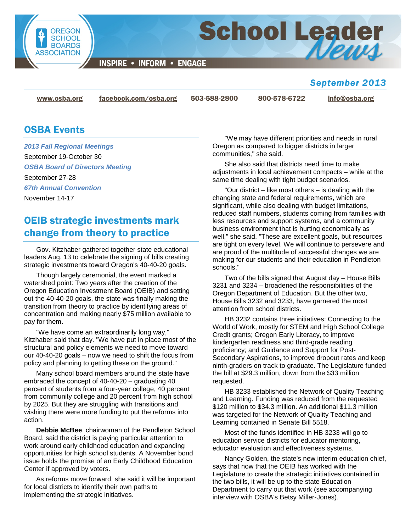

**INSPIRE • INFORM • ENGAGE** 

## *September 2013*

[www.osba.org](http://www.osba.org/) [facebook.com/osba.org](http://www.facebook.com/osba.org) 503-588-2800 800-578-6722 [info@osba.org](mailto:info@osba.org)

**School Leader** 

## OSBA Events

*2013 Fall Regional Meetings* September 19-October 30 *OSBA Board of Directors Meeting* September 27-28 *67th Annual Convention* November 14-17

# OEIB strategic investments mark change from theory to practice

Gov. Kitzhaber gathered together state educational leaders Aug. 13 to celebrate the signing of bills creating strategic investments toward Oregon's 40-40-20 goals.

Though largely ceremonial, the event marked a watershed point: Two years after the creation of the Oregon Education Investment Board (OEIB) and setting out the 40-40-20 goals, the state was finally making the transition from theory to practice by identifying areas of concentration and making nearly \$75 million available to pay for them.

"We have come an extraordinarily long way," Kitzhaber said that day. "We have put in place most of the structural and policy elements we need to move toward our 40-40-20 goals – now we need to shift the focus from policy and planning to getting these on the ground."

Many school board members around the state have embraced the concept of 40-40-20 – graduating 40 percent of students from a four-year college, 40 percent from community college and 20 percent from high school by 2025. But they are struggling with transitions and wishing there were more funding to put the reforms into action.

**Debbie McBee**, chairwoman of the Pendleton School Board, said the district is paying particular attention to work around early childhood education and expanding opportunities for high school students. A November bond issue holds the promise of an Early Childhood Education Center if approved by voters.

As reforms move forward, she said it will be important for local districts to identify their own paths to implementing the strategic initiatives.

"We may have different priorities and needs in rural Oregon as compared to bigger districts in larger communities," she said.

She also said that districts need time to make adjustments in local achievement compacts – while at the same time dealing with tight budget scenarios.

"Our district – like most others – is dealing with the changing state and federal requirements, which are significant, while also dealing with budget limitations, reduced staff numbers, students coming from families with less resources and support systems, and a community business environment that is hurting economically as well," she said. "These are excellent goals, but resources are tight on every level. We will continue to persevere and are proud of the multitude of successful changes we are making for our students and their education in Pendleton schools."

Two of the bills signed that August day – House Bills 3231 and 3234 – broadened the responsibilities of the Oregon Department of Education. But the other two, House Bills 3232 and 3233, have garnered the most attention from school districts.

HB 3232 contains three initiatives: Connecting to the World of Work, mostly for STEM and High School College Credit grants; Oregon Early Literacy, to improve kindergarten readiness and third-grade reading proficiency; and Guidance and Support for Post-Secondary Aspirations, to improve dropout rates and keep ninth-graders on track to graduate. The Legislature funded the bill at \$29.3 million, down from the \$33 million requested.

HB 3233 established the Network of Quality Teaching and Learning. Funding was reduced from the requested \$120 million to \$34.3 million. An additional \$11.3 million was targeted for the Network of Quality Teaching and Learning contained in Senate Bill 5518.

Most of the funds identified in HB 3233 will go to education service districts for educator mentoring, educator evaluation and effectiveness systems.

Nancy Golden, the state's new interim education chief, says that now that the OEIB has worked with the Legislature to create the strategic initiatives contained in the two bills, it will be up to the state Education Department to carry out that work (see accompanying interview with OSBA's Betsy Miller-Jones).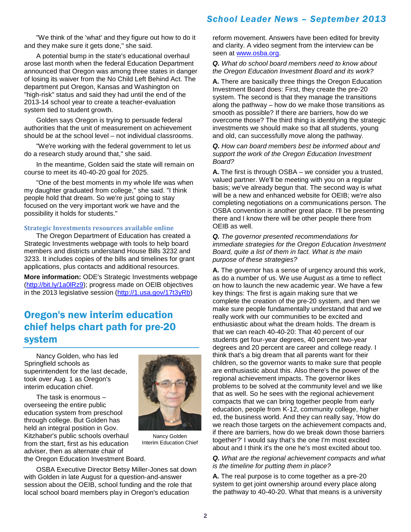"We think of the 'what' and they figure out how to do it and they make sure it gets done," she said.

A potential bump in the state's educational overhaul arose last month when the federal Education Department announced that Oregon was among three states in danger of losing its waiver from the No Child Left Behind Act. The department put Oregon, Kansas and Washington on "high-risk" status and said they had until the end of the 2013-14 school year to create a teacher-evaluation system tied to student growth.

Golden says Oregon is trying to persuade federal authorities that the unit of measurement on achievement should be at the school level – not individual classrooms.

"We're working with the federal government to let us do a research study around that," she said.

In the meantime, Golden said the state will remain on course to meet its 40-40-20 goal for 2025.

"One of the best moments in my whole life was when my daughter graduated from college," she said. "I think people hold that dream. So we're just going to stay focused on the very important work we have and the possibility it holds for students."

#### **Strategic Investments resources available online**

The Oregon Department of Education has created a Strategic Investments webpage with tools to help board members and districts understand House Bills 3232 and 3233. It includes copies of the bills and timelines for grant applications, plus contacts and additional resources.

**More information:** ODE's Strategic Investments webpage [\(http://bit.ly/1a0lRz9\)](http://bit.ly/1a0lRz9); progress made on OEIB objectives in the 2013 legislative session [\(http://1.usa.gov/17t3yRb\)](http://1.usa.gov/17t3yRb)

## Oregon's new interim education chief helps chart path for pre-20 system

Nancy Golden, who has led Springfield schools as superintendent for the last decade, took over Aug. 1 as Oregon's interim education chief.

The task is enormous – overseeing the entire public education system from preschool through college. But Golden has held an integral position in Gov. Kitzhaber's public schools overhaul from the start, first as his education adviser, then as alternate chair of the Oregon Education Investment Board.



Nancy Golden Interim Education Chief

OSBA Executive Director Betsy Miller-Jones sat down with Golden in late August for a question-and-answer session about the OEIB, school funding and the role that local school board members play in Oregon's education

reform movement. Answers have been edited for brevity and clarity. A video segment from the interview can be seen at [www.osba.org.](http://www.osba.org/News%20Center/Announcements/2013-08-28_NGolden_interview_intro.aspx)

#### *Q. What do school board members need to know about the Oregon Education Investment Board and its work?*

**A.** There are basically three things the Oregon Education Investment Board does: First, they create the pre-20 system. The second is that they manage the transitions along the pathway – how do we make those transitions as smooth as possible? If there are barriers, how do we overcome those? The third thing is identifying the strategic investments we should make so that all students, young and old, can successfully move along the pathway.

#### *Q. How can board members best be informed about and support the work of the Oregon Education Investment Board?*

**A.** The first is through OSBA – we consider you a trusted, valued partner. We'll be meeting with you on a regular basis; we've already begun that. The second way is what will be a new and enhanced website for OEIB; we're also completing negotiations on a communications person. The OSBA convention is another great place. I'll be presenting there and I know there will be other people there from OEIB as well.

*Q. The governor presented recommendations for immediate strategies for the Oregon Education Investment Board, quite a list of them in fact. What is the main purpose of these strategies?*

**A.** The governor has a sense of urgency around this work, as do a number of us. We use August as a time to reflect on how to launch the new academic year. We have a few key things: The first is again making sure that we complete the creation of the pre-20 system, and then we make sure people fundamentally understand that and we really work with our communities to be excited and enthusiastic about what the dream holds. The dream is that we can reach 40-40-20: That 40 percent of our students get four-year degrees, 40 percent two-year degrees and 20 percent are career and college ready. I think that's a big dream that all parents want for their children, so the governor wants to make sure that people are enthusiastic about this. Also there's the power of the regional achievement impacts. The governor likes problems to be solved at the community level and we like that as well. So he sees with the regional achievement compacts that we can bring together people from early education, people from K-12, community college, higher ed, the business world. And they can really say, 'How do we reach those targets on the achievement compacts and, if there are barriers, how do we break down those barriers together?' I would say that's the one I'm most excited about and I think it's the one he's most excited about too.

#### *Q. What are the regional achievement compacts and what is the timeline for putting them in place?*

**A.** The real purpose is to come together as a pre-20 system to get joint ownership around every place along the pathway to 40-40-20. What that means is a university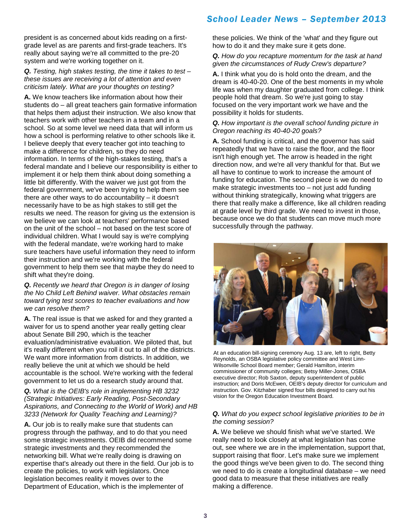president is as concerned about kids reading on a firstgrade level as are parents and first-grade teachers. It's really about saying we're all committed to the pre-20 system and we're working together on it.

#### *Q. Testing, high stakes testing, the time it takes to test – these issues are receiving a lot of attention and even criticism lately. What are your thoughts on testing?*

**A.** We know teachers like information about how their students do – all great teachers gain formative information that helps them adjust their instruction. We also know that teachers work with other teachers in a team and in a school. So at some level we need data that will inform us how a school is performing relative to other schools like it. I believe deeply that every teacher got into teaching to make a difference for children, so they do need information. In terms of the high-stakes testing, that's a federal mandate and I believe our responsibility is either to implement it or help them think about doing something a little bit differently. With the waiver we just got from the federal government, we've been trying to help them see there are other ways to do accountability – it doesn't necessarily have to be as high stakes to still get the results we need. The reason for giving us the extension is we believe we can look at teachers' performance based on the unit of the school – not based on the test score of individual children. What I would say is we're complying with the federal mandate, we're working hard to make sure teachers have useful information they need to inform their instruction and we're working with the federal government to help them see that maybe they do need to shift what they're doing.

*Q. Recently we heard that Oregon is in danger of losing the No Child Left Behind waiver. What obstacles remain toward tying test scores to teacher evaluations and how we can resolve them?*

**A.** The real issue is that we asked for and they granted a waiver for us to spend another year really getting clear about Senate Bill 290, which is the teacher evaluation/administrative evaluation. We piloted that, but it's really different when you roll it out to all of the districts. We want more information from districts. In addition, we really believe the unit at which we should be held accountable is the school. We're working with the federal government to let us do a research study around that.

#### *Q. What is the OEIB's role in implementing HB 3232 (Strategic Initiatives: Early Reading, Post-Secondary Aspirations, and Connecting to the World of Work) and HB 3233 (Network for Quality Teaching and Learning)?*

**A.** Our job is to really make sure that students can progress through the pathway, and to do that you need some strategic investments. OEIB did recommend some strategic investments and they recommended the networking bill. What we're really doing is drawing on expertise that's already out there in the field. Our job is to create the policies, to work with legislators. Once legislation becomes reality it moves over to the Department of Education, which is the implementer of

these policies. We think of the 'what' and they figure out how to do it and they make sure it gets done.

#### *Q. How do you recapture momentum for the task at hand given the circumstances of Rudy Crew's departure?*

**A.** I think what you do is hold onto the dream, and the dream is 40-40-20. One of the best moments in my whole life was when my daughter graduated from college. I think people hold that dream. So we're just going to stay focused on the very important work we have and the possibility it holds for students.

#### *Q. How important is the overall school funding picture in Oregon reaching its 40-40-20 goals?*

**A.** School funding is critical, and the governor has said repeatedly that we have to raise the floor, and the floor isn't high enough yet. The arrow is headed in the right direction now, and we're all very thankful for that. But we all have to continue to work to increase the amount of funding for education. The second piece is we do need to make strategic investments too – not just add funding without thinking strategically, knowing what triggers are there that really make a difference, like all children reading at grade level by third grade. We need to invest in those, because once we do that students can move much more successfully through the pathway.



At an education bill-signing ceremony Aug. 13 are, left to right, Betty Reynolds, an OSBA legislative policy committee and West Linn-Wilsonville School Board member; Gerald Hamilton, interim commissioner of community colleges; Betsy Miller-Jones, OSBA executive director; Rob Saxton, deputy superintendent of public instruction; and Doris McEwen, OEIB's deputy director for curriculum and instruction. Gov. Kitzhaber signed four bills designed to carry out his vision for the Oregon Education Investment Board.

#### *Q. What do you expect school legislative priorities to be in the coming session?*

**A.** We believe we should finish what we've started. We really need to look closely at what legislation has come out, see where we are in the implementation, support that, support raising that floor. Let's make sure we implement the good things we've been given to do. The second thing we need to do is create a longitudinal database – we need good data to measure that these initiatives are really making a difference.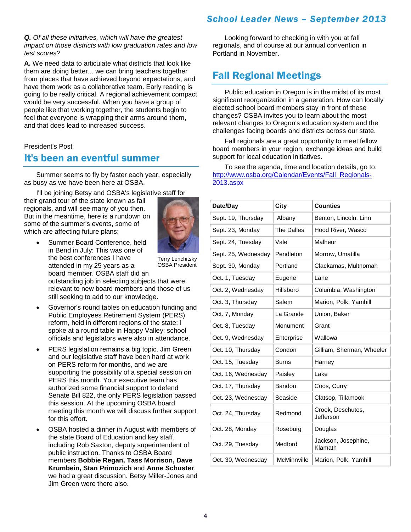#### *Q. Of all these initiatives, which will have the greatest impact on those districts with low graduation rates and low test scores?*

**A.** We need data to articulate what districts that look like them are doing better... we can bring teachers together from places that have achieved beyond expectations, and have them work as a collaborative team. Early reading is going to be really critical. A regional achievement compact would be very successful. When you have a group of people like that working together, the students begin to feel that everyone is wrapping their arms around them, and that does lead to increased success.

#### President's Post

## It's been an eventful summer

Summer seems to fly by faster each year, especially as busy as we have been here at OSBA.

I'll be joining Betsy and OSBA's legislative staff for their grand tour of the state known as fall regionals, and will see many of you then. But in the meantime, here is a rundown on some of the summer's events, some of which are affecting future plans:



Summer Board Conference, held in Bend in July: This was one of the best conferences I have attended in my 25 years as a board member. OSBA staff did an

Terry Lenchitsky OSBA President

outstanding job in selecting subjects that were relevant to new board members and those of us still seeking to add to our knowledge.

- Governor's round tables on education funding and Public Employees Retirement System (PERS) reform, held in different regions of the state: I spoke at a round table in Happy Valley; school officials and legislators were also in attendance.
- PERS legislation remains a big topic. Jim Green and our legislative staff have been hard at work on PERS reform for months, and we are supporting the possibility of a special session on PERS this month. Your executive team has authorized some financial support to defend Senate Bill 822, the only PERS legislation passed this session. At the upcoming OSBA board meeting this month we will discuss further support for this effort.
- OSBA hosted a dinner in August with members of the state Board of Education and key staff, including Rob Saxton, deputy superintendent of public instruction. Thanks to OSBA Board members **Bobbie Regan, Tass Morrison, Dave Krumbein, Stan Primozich** and **Anne Schuster**, we had a great discussion. Betsy Miller-Jones and Jim Green were there also.

## *School Leader News – September 2013*

Looking forward to checking in with you at fall regionals, and of course at our annual convention in Portland in November.

# Fall Regional Meetings

Public education in Oregon is in the midst of its most significant reorganization in a generation. How can locally elected school board members stay in front of these changes? OSBA invites you to learn about the most relevant changes to Oregon's education system and the challenges facing boards and districts across our state.

Fall regionals are a great opportunity to meet fellow board members in your region, exchange ideas and build support for local education initiatives.

To see the agenda, time and location details, go to: [http://www.osba.org/Calendar/Events/Fall\\_Regionals-](http://www.osba.org/Calendar/Events/Fall_Regionals-2013.aspx)[2013.aspx](http://www.osba.org/Calendar/Events/Fall_Regionals-2013.aspx)

| Date/Day            | City              | <b>Counties</b>                |
|---------------------|-------------------|--------------------------------|
| Sept. 19, Thursday  | Albany            | Benton, Lincoln, Linn          |
| Sept. 23, Monday    | <b>The Dalles</b> | Hood River, Wasco              |
| Sept. 24, Tuesday   | Vale              | Malheur                        |
| Sept. 25, Wednesday | Pendleton         | Morrow, Umatilla               |
| Sept. 30, Monday    | Portland          | Clackamas, Multnomah           |
| Oct. 1, Tuesday     | Eugene            | Lane                           |
| Oct. 2, Wednesday   | Hillsboro         | Columbia, Washington           |
| Oct. 3, Thursday    | Salem             | Marion, Polk, Yamhill          |
| Oct. 7, Monday      | La Grande         | Union, Baker                   |
| Oct. 8, Tuesday     | Monument          | Grant                          |
| Oct. 9, Wednesday   | Enterprise        | Wallowa                        |
| Oct. 10, Thursday   | Condon            | Gilliam, Sherman, Wheeler      |
| Oct. 15, Tuesday    | Burns             | Harney                         |
| Oct. 16, Wednesday  | Paisley           | Lake                           |
| Oct. 17, Thursday   | Bandon            | Coos, Curry                    |
| Oct. 23, Wednesday  | Seaside           | Clatsop, Tillamook             |
| Oct. 24, Thursday   | Redmond           | Crook, Deschutes,<br>Jefferson |
| Oct. 28, Monday     | Roseburg          | Douglas                        |
| Oct. 29, Tuesday    | Medford           | Jackson, Josephine,<br>Klamath |
| Oct. 30, Wednesday  | McMinnville       | Marion, Polk, Yamhill          |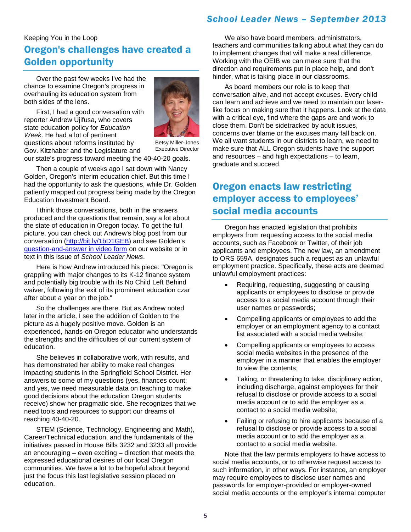## Keeping You in the Loop Oregon's challenges have created a Golden opportunity

Over the past few weeks I've had the chance to examine Oregon's progress in overhauling its education system from both sides of the lens.



First, I had a good conversation with reporter Andrew Ujifusa, who covers state education policy for *Education Week*. He had a lot of pertinent questions about reforms instituted by Gov. Kitzhaber and the Legislature and

Betsy Miller-Jones Executive Director

our state's progress toward meeting the 40-40-20 goals.

Then a couple of weeks ago I sat down with Nancy Golden, Oregon's interim education chief. But this time I had the opportunity to ask the questions, while Dr. Golden patiently mapped out progress being made by the Oregon Education Investment Board.

I think those conversations, both in the answers produced and the questions that remain, say a lot about the state of education in Oregon today. To get the full picture, you can check out Andrew's blog post from our conversation [\(http://bit.ly/1bD1GEB\)](http://bit.ly/1bD1GEB) and see Golden's [question-and-answer in video form](http://www.osba.org/News%20Center/Announcements/2013-08-28_NGolden_interview_intro.aspx) on our website or in text in this issue of *School Leader News*.

Here is how Andrew introduced his piece: "Oregon is grappling with major changes to its K-12 finance system and potentially big trouble with its No Child Left Behind waiver, following the exit of its prominent education czar after about a year on the job."

So the challenges are there. But as Andrew noted later in the article, I see the addition of Golden to the picture as a hugely positive move. Golden is an experienced, hands-on Oregon educator who understands the strengths and the difficulties of our current system of education.

She believes in collaborative work, with results, and has demonstrated her ability to make real changes impacting students in the Springfield School District. Her answers to some of my questions (yes, finances count; and yes, we need measurable data on teaching to make good decisions about the education Oregon students receive) show her pragmatic side. She recognizes that we need tools and resources to support our dreams of reaching 40-40-20.

STEM (Science, Technology, Engineering and Math), Career/Technical education, and the fundamentals of the initiatives passed in House Bills 3232 and 3233 all provide an encouraging – even exciting – direction that meets the expressed educational desires of our local Oregon communities. We have a lot to be hopeful about beyond just the focus this last legislative session placed on education.

We also have board members, administrators, teachers and communities talking about what they can do to implement changes that will make a real difference. Working with the OEIB we can make sure that the direction and requirements put in place help, and don't hinder, what is taking place in our classrooms.

As board members our role is to keep that conversation alive, and not accept excuses. Every child can learn and achieve and we need to maintain our laserlike focus on making sure that it happens. Look at the data with a critical eye, find where the gaps are and work to close them. Don't be sidetracked by adult issues, concerns over blame or the excuses many fall back on. We all want students in our districts to learn, we need to make sure that ALL Oregon students have the support and resources – and high expectations – to learn, graduate and succeed.

# Oregon enacts law restricting employer access to employees' social media accounts

Oregon has enacted legislation that prohibits employers from requesting access to the social media accounts, such as Facebook or Twitter, of their job applicants and employees. The new law, an amendment to ORS 659A, designates such a request as an unlawful employment practice. Specifically, these acts are deemed unlawful employment practices:

- Requiring, requesting, suggesting or causing applicants or employees to disclose or provide access to a social media account through their user names or passwords;
- Compelling applicants or employees to add the employer or an employment agency to a contact list associated with a social media website;
- Compelling applicants or employees to access social media websites in the presence of the employer in a manner that enables the employer to view the contents;
- Taking, or threatening to take, disciplinary action, including discharge, against employees for their refusal to disclose or provide access to a social media account or to add the employer as a contact to a social media website;
- Failing or refusing to hire applicants because of a refusal to disclose or provide access to a social media account or to add the employer as a contact to a social media website.

Note that the law permits employers to have access to social media accounts, or to otherwise request access to such information, in other ways. For instance, an employer may require employees to disclose user names and passwords for employer-provided or employer-owned social media accounts or the employer's internal computer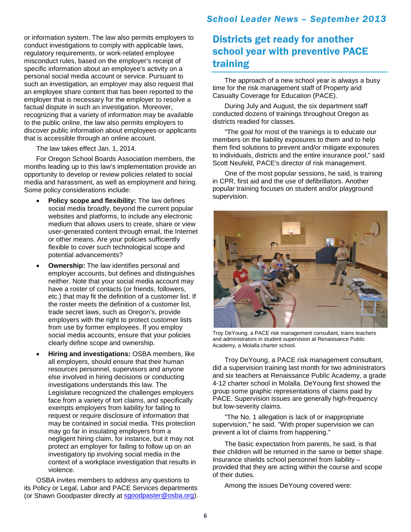or information system. The law also permits employers to conduct investigations to comply with applicable laws, regulatory requirements, or work-related employee misconduct rules, based on the employer's receipt of specific information about an employee's activity on a personal social media account or service. Pursuant to such an investigation, an employer may also request that an employee share content that has been reported to the employer that is necessary for the employer to resolve a factual dispute in such an investigation. Moreover, recognizing that a variety of information may be available to the public online, the law also permits employers to discover public information about employees or applicants that is accessible through an online account.

The law takes effect Jan. 1, 2014.

For Oregon School Boards Association members, the months leading up to this law's implementation provide an opportunity to develop or review policies related to social media and harassment, as well as employment and hiring. Some policy considerations include:

- **Policy scope and flexibility:** The law defines social media broadly, beyond the current popular websites and platforms, to include any electronic medium that allows users to create, share or view user-generated content through email, the Internet or other means. Are your policies sufficiently flexible to cover such technological scope and potential advancements?
- **Ownership:** The law identifies personal and employer accounts, but defines and distinguishes neither. Note that your social media account may have a roster of contacts (or friends, followers, etc.) that may fit the definition of a customer list. If the roster meets the definition of a customer list, trade secret laws, such as Oregon's, provide employers with the right to protect customer lists from use by former employees. If you employ social media accounts, ensure that your policies clearly define scope and ownership.
- **Hiring and investigations:** OSBA members, like all employers, should ensure that their human resources personnel, supervisors and anyone else involved in hiring decisions or conducting investigations understands this law. The Legislature recognized the challenges employers face from a variety of tort claims, and specifically exempts employers from liability for failing to request or require disclosure of information that may be contained in social media. This protection may go far in insulating employers from a negligent hiring claim, for instance, but it may not protect an employer for failing to follow up on an investigatory tip involving social media in the context of a workplace investigation that results in violence.

OSBA invites members to address any questions to its Policy or Legal, Labor and PACE Services departments (or Shawn Goodpaster directly at [sgoodpaster@osba.org\)](mailto:sgoodpaster@osba.org).

### *School Leader News – September 2013*

# Districts get ready for another school year with preventive PACE training

The approach of a new school year is always a busy time for the risk management staff of Property and Casualty Coverage for Education (PACE).

During July and August, the six department staff conducted dozens of trainings throughout Oregon as districts readied for classes.

"The goal for most of the trainings is to educate our members on the liability exposures to them and to help them find solutions to prevent and/or mitigate exposures to individuals, districts and the entire insurance pool," said Scott Neufeld, PACE's director of risk management.

One of the most popular sessions, he said, is training in CPR, first aid and the use of defibrillators. Another popular training focuses on student and/or playground supervision.



Troy DeYoung, a PACE risk management consultant, trains teachers and administrators in student supervision at Renaissance Public Academy, a Molalla charter school.

Troy DeYoung, a PACE risk management consultant, did a supervision training last month for two administrators and six teachers at Renaissance Public Academy, a grade 4-12 charter school in Molalla. DeYoung first showed the group some graphic representations of claims paid by PACE. Supervision issues are generally high-frequency but low-severity claims.

"The No. 1 allegation is lack of or inappropriate supervision," he said. "With proper supervision we can prevent a lot of claims from happening."

The basic expectation from parents, he said, is that their children will be returned in the same or better shape. Insurance shields school personnel from liability – provided that they are acting within the course and scope of their duties.

Among the issues DeYoung covered were: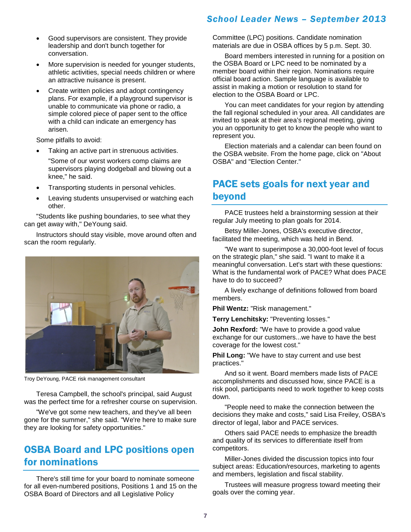- Good supervisors are consistent. They provide leadership and don't bunch together for conversation.
- More supervision is needed for younger students, athletic activities, special needs children or where an attractive nuisance is present.
- Create written policies and adopt contingency plans. For example, if a playground supervisor is unable to communicate via phone or radio, a simple colored piece of paper sent to the office with a child can indicate an emergency has arisen.

Some pitfalls to avoid:

Taking an active part in strenuous activities.

"Some of our worst workers comp claims are supervisors playing dodgeball and blowing out a knee," he said.

- Transporting students in personal vehicles.
- Leaving students unsupervised or watching each other.

"Students like pushing boundaries, to see what they can get away with," DeYoung said.

Instructors should stay visible, move around often and scan the room regularly.



Troy DeYoung, PACE risk management consultant

Teresa Campbell, the school's principal, said August was the perfect time for a refresher course on supervision.

"We've got some new teachers, and they've all been gone for the summer," she said. "We're here to make sure they are looking for safety opportunities."

# OSBA Board and LPC positions open for nominations

There's still time for your board to nominate someone for all even-numbered positions, Positions 1 and 15 on the OSBA Board of Directors and all Legislative Policy

Committee (LPC) positions. Candidate nomination materials are due in OSBA offices by 5 p.m. Sept. 30.

Board members interested in running for a position on the OSBA Board or LPC need to be nominated by a member board within their region. Nominations require official board action. Sample language is available to assist in making a motion or resolution to stand for election to the OSBA Board or LPC.

You can meet candidates for your region by attending the fall regional scheduled in your area. All candidates are invited to speak at their area's regional meeting, giving you an opportunity to get to know the people who want to represent you.

Election materials and a calendar can been found on the OSBA website. From the home page, click on "About OSBA" and "Election Center."

# PACE sets goals for next year and beyond

PACE trustees held a brainstorming session at their regular July meeting to plan goals for 2014.

Betsy Miller-Jones, OSBA's executive director, facilitated the meeting, which was held in Bend.

"We want to superimpose a 30,000-foot level of focus on the strategic plan," she said. "I want to make it a meaningful conversation. Let's start with these questions: What is the fundamental work of PACE? What does PACE have to do to succeed?

A lively exchange of definitions followed from board members.

**Phil Wentz:** "Risk management."

**Terry Lenchitsky:** "Preventing losses."

**John Rexford:** "We have to provide a good value exchange for our customers...we have to have the best coverage for the lowest cost."

**Phil Long:** "We have to stay current and use best practices."

And so it went. Board members made lists of PACE accomplishments and discussed how, since PACE is a risk pool, participants need to work together to keep costs down.

"People need to make the connection between the decisions they make and costs," said Lisa Freiley, OSBA's director of legal, labor and PACE services.

Others said PACE needs to emphasize the breadth and quality of its services to differentiate itself from competitors.

Miller-Jones divided the discussion topics into four subject areas: Education/resources, marketing to agents and members, legislation and fiscal stability.

Trustees will measure progress toward meeting their goals over the coming year.